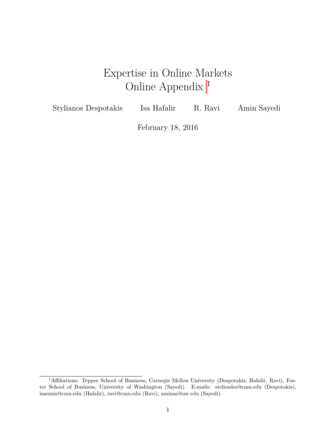# Expertise in Online Markets Online Appendix <sup>1</sup>

<span id="page-0-0"></span>Stylianos Despotakis Isa Hafalir R. Ravi Amin Sayedi

February 18, 2016

<sup>&</sup>lt;sup>1</sup>Affiliations: Tepper School of Business, Carnegie Mellon University (Despotakis, Hafalir, Ravi), Foster School of Business, University of Washington (Sayedi). E-mails: steliosdes@cmu.edu (Despotakis), isaemin@cmu.edu (Hafalir), ravi@cmu.edu (Ravi), aminsa@uw.edu (Sayedi).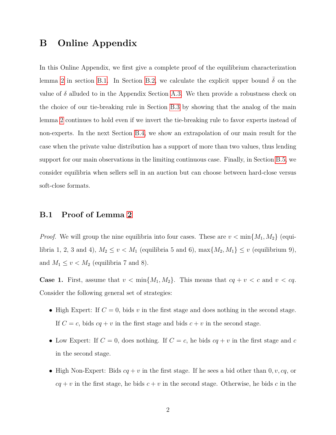# **B Online Appendix**

In this Online Appendix, we first give a complete proof of the equilibrium characterization lemma [2](#page-0-0) in section [B.1.](#page-1-0) In Section [B.2,](#page-12-0) we calculate the explicit upper bound  $\bar{\delta}$  on the value of  $\delta$  alluded to in the Appendix Section [A.3.](#page-0-0) We then provide a robustness check on the choice of our tie-breaking rule in Section [B.3](#page-17-0) by showing that the analog of the main lemma [2](#page-0-0) continues to hold even if we invert the tie-breaking rule to favor experts instead of non-experts. In the next Section [B.4,](#page-24-0) we show an extrapolation of our main result for the case when the private value distribution has a support of more than two values, thus lending support for our main observations in the limiting continuous case. Finally, in Section [B.5,](#page-29-0) we consider equilibria when sellers sell in an auction but can choose between hard-close versus soft-close formats.

# <span id="page-1-0"></span>**B.1 Proof of Lemma [2](#page-0-0)**

*Proof.* We will group the nine equilibria into four cases. These are  $v < \min\{M_1, M_2\}$  (equilibria 1, 2, 3 and 4),  $M_2 \le v < M_1$  (equilibria 5 and 6),  $\max\{M_2, M_1\} \le v$  (equilibrium 9), and  $M_1 \le v < M_2$  (equilibria 7 and 8).

**Case 1.** First, assume that  $v < \min\{M_1, M_2\}$ . This means that  $cq + v < c$  and  $v < cq$ . Consider the following general set of strategies:

- High Expert: If  $C = 0$ , bids  $v$  in the first stage and does nothing in the second stage. If  $C = c$ , bids  $cq + v$  in the first stage and bids  $c + v$  in the second stage.
- Low Expert: If  $C = 0$ , does nothing. If  $C = c$ , he bids  $cq + v$  in the first stage and  $c$ in the second stage.
- High Non-Expert: Bids  $cq + v$  in the first stage. If he sees a bid other than  $0, v, cq,$  or  $cq + v$  in the first stage, he bids  $c + v$  in the second stage. Otherwise, he bids  $c$  in the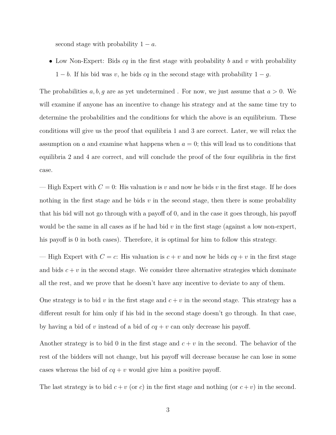second stage with probability  $1 - a$ .

• Low Non-Expert: Bids *cq* in the first stage with probability *b* and *v* with probability  $1 - b$ . If his bid was *v*, he bids *cq* in the second stage with probability  $1 - g$ .

The probabilities *a, b, g* are as yet undetermined . For now, we just assume that *a >* 0. We will examine if anyone has an incentive to change his strategy and at the same time try to determine the probabilities and the conditions for which the above is an equilibrium. These conditions will give us the proof that equilibria 1 and 3 are correct. Later, we will relax the assumption on *a* and examine what happens when  $a = 0$ ; this will lead us to conditions that equilibria 2 and 4 are correct, and will conclude the proof of the four equilibria in the first case.

— High Expert with  $C = 0$ : His valuation is *v* and now he bids *v* in the first stage. If he does nothing in the first stage and he bids  $v$  in the second stage, then there is some probability that his bid will not go through with a payoff of 0, and in the case it goes through, his payoff would be the same in all cases as if he had bid  $v$  in the first stage (against a low non-expert, his payoff is 0 in both cases). Therefore, it is optimal for him to follow this strategy.

— High Expert with  $C = c$ : His valuation is  $c + v$  and now he bids  $cq + v$  in the first stage and bids  $c + v$  in the second stage. We consider three alternative strategies which dominate all the rest, and we prove that he doesn't have any incentive to deviate to any of them.

One strategy is to bid  $v$  in the first stage and  $c + v$  in the second stage. This strategy has a different result for him only if his bid in the second stage doesn't go through. In that case, by having a bid of *v* instead of a bid of *cq* + *v* can only decrease his payoff.

Another strategy is to bid 0 in the first stage and  $c + v$  in the second. The behavior of the rest of the bidders will not change, but his payoff will decrease because he can lose in some cases whereas the bid of  $cq + v$  would give him a positive payoff.

The last strategy is to bid  $c + v$  (or *c*) in the first stage and nothing (or  $c + v$ ) in the second.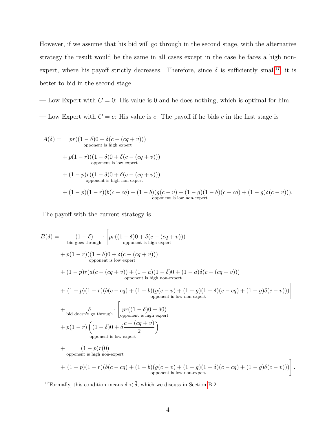However, if we assume that his bid will go through in the second stage, with the alternative strategy the result would be the same in all cases except in the case he faces a high nonexpert, where his payoff strictly decreases. Therefore, since  $\delta$  is sufficiently small<sup>[17](#page-3-0)</sup>, it is better to bid in the second stage.

— Low Expert with  $C = 0$ : His value is 0 and he does nothing, which is optimal for him.

— Low Expert with  $C = c$ : His value is  $c$ . The payoff if he bids  $c$  in the first stage is

$$
A(\delta) = pr((1 - \delta)0 + \delta(c - (cq + v)))
$$
  
\n
$$
+ p(1 - r)((1 - \delta)0 + \delta(c - (cq + v)))
$$
  
\n
$$
+ (1 - p)r((1 - \delta)0 + \delta(c - (cq + v)))
$$
  
\n
$$
+ (1 - p)r((1 - \delta)0 + \delta(c - (cq + v)))
$$
  
\n
$$
+ (1 - p)(1 - r)(b(c - cq) + (1 - b)(g(c - v) + (1 - g)(1 - \delta)(c - cq) + (1 - g)\delta(c - v))).
$$
  
\n
$$
= (p - q)(1 - \delta)(c - cq) + (1 - b)(g(c - v) + (1 - g)(1 - \delta)(c - cq) + (1 - g)\delta(c - v))).
$$
  
\n
$$
= (p - q)(1 - \delta)(c - cq) + (1 - b)(g(c - v) + (1 - g)(1 - \delta)(c - cq) + (1 - g)\delta(c - v)).
$$

The payoff with the current strategy is

$$
B(\delta) = \n\begin{bmatrix}\n(1-\delta) & \text{big goes through} \\
\text{big goes through} & \text{group of } \delta(c - (cq + v))) \\
+ p(1-r)((1-\delta)0 + \delta(c - (cq + v))) \\
\text{opponent is low expert} \\
+ (1-p)r(a(c - (cq + v)) + (1-a)(1-\delta)0 + (1-a)\delta(c - (cq + v))) \\
+ (1-p)(1-r)(b(c - cq) + (1-b)(g(c - v) + (1-g)(1-\delta)(c - cq) + (1-g)\delta(c - v)))\n\end{bmatrix}\n+ \n\begin{bmatrix}\n\delta & \text{if } \delta \text{ is the non-expert} \\
\text{big doesn't go through} & \text{group of } \delta \text{ is the upper term, } \\
+ p(1-r)\left((1-\delta)0 + \delta \frac{c - (cq + v)}{2}\right) \\
\text{opponent is low expert}\n\end{bmatrix}\n+ \n\begin{bmatrix}\n\frac{pr((1-\delta)0 + \delta0)}{2}\n\end{bmatrix}\n+ \n\begin{bmatrix}\n(1-p)r(0) \\
(1-p)(1-r)(b(c - cq) + (1-b)(g(c - v) + (1-g)(1 - \delta)(c - cq) + (1-g)\delta(c - v))) \\
\text{opponent is high non-expert}\n\end{bmatrix}.
$$

<span id="page-3-0"></span><sup>17</sup>Formally, this condition means  $\delta < \overline{\delta}$ , which we discuss in Section [B.2.](#page-12-0)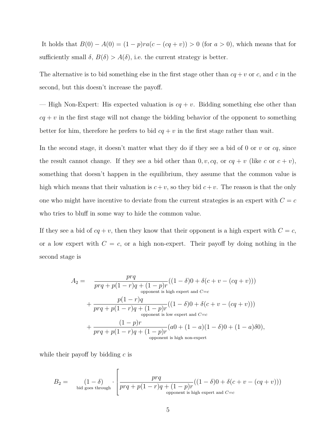It holds that *B*(0) − *A*(0) = (1 − *p*)*ra*(*c* − (*cq* + *v*)) *>* 0 (for *a >* 0), which means that for sufficiently small  $\delta$ ,  $B(\delta) > A(\delta)$ , i.e. the current strategy is better.

The alternative is to bid something else in the first stage other than  $cq + v$  or  $c$ , and  $c$  in the second, but this doesn't increase the payoff.

— High Non-Expert: His expected valuation is  $cq + v$ . Bidding something else other than  $cq + v$  in the first stage will not change the bidding behavior of the opponent to something better for him, therefore he prefers to bid  $cq + v$  in the first stage rather than wait.

In the second stage, it doesn't matter what they do if they see a bid of 0 or  $v$  or  $cq$ , since the result cannot change. If they see a bid other than  $0, v, cq,$  or  $cq + v$  (like  $c$  or  $c + v$ ), something that doesn't happen in the equilibrium, they assume that the common value is high which means that their valuation is  $c + v$ , so they bid  $c + v$ . The reason is that the only one who might have incentive to deviate from the current strategies is an expert with  $C = c$ who tries to bluff in some way to hide the common value.

If they see a bid of  $cq + v$ , then they know that their opponent is a high expert with  $C = c$ , or a low expert with  $C = c$ , or a high non-expert. Their payoff by doing nothing in the second stage is

$$
A_2 = \frac{prq}{prq + p(1-r)q + (1-p)r}((1-\delta)0 + \delta(c+v - (cq+v)))
$$
  
\n
$$
+ \frac{p(1-r)q}{prq + p(1-r)q + (1-p)r}((1-\delta)0 + \delta(c+v - (cq+v)))
$$
  
\n
$$
+ \frac{(1-p)r}{prq + p(1-r)q + (1-p)r}((a0 + (1-a)(1-\delta)0 + (1-a)\delta 0),
$$
  
\n
$$
+ \frac{(1-p)r}{prq + p(1-r)q + (1-p)r}(a0 + (1-a)(1-\delta)0 + (1-a)\delta 0),
$$
  
\n
$$
+ \frac{(1-p)r}{prq + p(1-r)q + (1-p)r}(a0 + (1-a)(1-\delta)0 + (1-a)\delta 0),
$$
  
\n
$$
+ \frac{(1-p)r}{prq + p(1-r)q + (1-p)r}(a0 + (1-a)(1-\delta)0 + (1-a)\delta 0),
$$
  
\n
$$
+ \frac{(1-p)r}{prq + p(1-r)q + (1-p)r}(a0 + (1-a)(1-\delta)0 + (1-a)\delta 0),
$$

while their payoff by bidding *c* is

$$
B_2=\left(1-\delta\right)\left[ \frac{prq}{prq+p(1-r)q+(1-p)r}((1-\delta)0+\delta(c+v-(cq+v)))\right.\\ \left.\left[\frac{prq}{prq+p(1-r)q+(1-p)r}((1-\delta)0+\delta(c+v-(cq+v)))\right.\right.
$$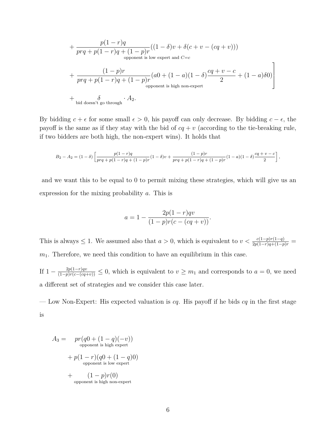+ 
$$
\frac{p(1-r)q}{prq + p(1-r)q + (1-p)r}((1-\delta)v + \delta(c+v - (cq+v)))
$$
  
\n
$$
+ \frac{(1-p)r}{prq + p(1-r)q + (1-p)r}(a0 + (1-a)(1-\delta)\frac{cq + v - c}{2} + (1-a)\delta 0)
$$
  
\n
$$
+ \frac{\delta}{\delta \text{ of the } \delta \text{ of the } \delta \text{ of the } \delta \text{ of the } \delta \text{ of the } \delta \text{ of the } \delta \text{ of the } \delta \text{ of the } \delta \text{ of the } \delta \text{ of the } \delta \text{ of the } \delta \text{ of the } \delta \text{ of the } \delta \text{ of the } \delta \text{ of the } \delta \text{ of the } \delta \text{ of the } \delta \text{ of the } \delta \text{ of the } \delta \text{ of the } \delta \text{ of the } \delta \text{ of the } \delta \text{ of the } \delta \text{ of the } \delta \text{ of the } \delta \text{ of the } \delta \text{ of the } \delta \text{ of the } \delta \text{ of the } \delta \text{ of the } \delta \text{ of the } \delta \text{ of the } \delta \text{ of the } \delta \text{ of the } \delta \text{ of the } \delta \text{ of the } \delta \text{ of the } \delta \text{ of the } \delta \text{ of the } \delta \text{ of the } \delta \text{ of the } \delta \text{ of the } \delta \text{ of the } \delta \text{ of the } \delta \text{ of the } \delta \text{ of the } \delta \text{ of the } \delta \text{ of the } \delta \text{ of the } \delta \text{ of the } \delta \text{ of the } \delta \text{ of the } \delta \text{ of the } \delta \text{ of the } \delta \text{ of the } \delta \text{ of the } \delta \text{ of the } \delta \text{ of the } \delta \text{ of the } \delta \text{ of the } \delta \text{ of the } \delta \text{ of the } \delta \text{ of the } \delta \text{ of the } \delta \text{ of the } \delta \text{ of the } \delta \text{ of the } \delta \text{ of the } \delta \text{ of the } \delta \text{ of the } \delta \text{ of the } \delta \text{ of the } \delta \text{ of the } \delta \text{ of the } \delta \text{ of the } \delta \text{ of the } \delta \text{ of the } \delta \text{ of the } \delta \text{ of the } \delta \text{
$$

By bidding  $c + \epsilon$  for some small  $\epsilon > 0$ , his payoff can only decrease. By bidding  $c - \epsilon$ , the payoff is the same as if they stay with the bid of  $cq + v$  (according to the tie-breaking rule, if two bidders are both high, the non-expert wins). It holds that

$$
B_2 - A_2 = (1 - \delta) \left[ \frac{p(1 - r)q}{prq + p(1 - r)q + (1 - p)r} (1 - \delta)v + \frac{(1 - p)r}{prq + p(1 - r)q + (1 - p)r} (1 - a)(1 - \delta) \frac{cq + v - c}{2} \right],
$$

and we want this to be equal to 0 to permit mixing these strategies, which will give us an expression for the mixing probability *a*. This is

$$
a = 1 - \frac{2p(1-r)qv}{(1-p)r(c - (cq + v))}.
$$

This is always  $\leq 1$ . We assumed also that  $a > 0$ , which is equivalent to  $v < \frac{c(1-p)r(1-q)}{2p(1-r)q+(1-p)r}$ *m*1. Therefore, we need this condition to have an equilibrium in this case.

If  $1 - \frac{2p(1-r)qv}{(1-p)r(c-(cq+v))} \leq 0$ , which is equivalent to  $v \geq m_1$  and corresponds to  $a = 0$ , we need a different set of strategies and we consider this case later.

— Low Non-Expert: His expected valuation is *cq*. His payoff if he bids *cq* in the first stage is

$$
A_3 = \n\begin{aligned}\npr(q0 + (1 - q)(-v)) \\
\text{opponent is high expert} \\
+ p(1 - r)(q0 + (1 - q)0) \\
\text{opponent is low expert} \\
+ (1 - p)r(0) \\
\text{opponent is high non-expert}\n\end{aligned}
$$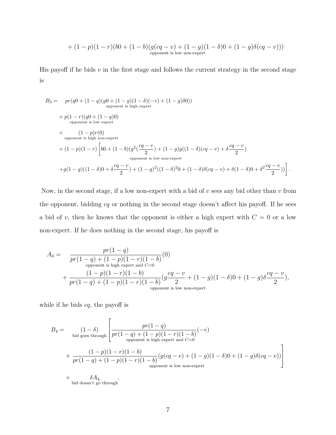$$
+\ (1-p)(1-r)(b0+(1-b)(g(cq-v)+(1-g)(1-\delta)0+(1-g)\delta(cq-v)))\quad \text{opponent is low non-expert}}
$$

His payoff if he bids *v* in the first stage and follows the current strategy in the second stage is

$$
B_3 = pr(q0 + (1 - q)(g0 + (1 - g)(1 - \delta)(-v) + (1 - g)\delta 0))
$$
\n
$$
+ p(1 - r)(q0 + (1 - q)0)
$$
\n
$$
+ p(1 - r)(q0 + (1 - q)0)
$$
\n
$$
+ (1 - p)r(0)
$$
\n
$$
+ (1 - p)(1 - r) \left[ b0 + (1 - b)(g^2(\frac{cq - v}{2}) + (1 - g)g((1 - \delta)(cq - v) + \delta \frac{cq - v}{2}) \right]
$$
\n
$$
+ g(1 - g)((1 - \delta)0 + \delta \frac{cq - v}{2}) + (1 - g)^2((1 - \delta)^2 0 + (1 - \delta)\delta(cq - v) + \delta(1 - \delta)0 + \delta^2 \frac{cq - v}{2}))
$$

Now, in the second stage, if a low non-expert with a bid of *v* sees any bid other than *v* from the opponent, bidding *cq* or nothing in the second stage doesn't affect his payoff. If he sees a bid of *v*, then he knows that the opponent is either a high expert with  $C = 0$  or a low non-expert. If he does nothing in the second stage, his payoff is

$$
A_4 = \frac{pr(1-q)}{pr(1-q) + (1-p)(1-r)(1-b)}(0)
$$
  
+ 
$$
\frac{(1-p)(1-r)(1-b)}{pr(1-q) + (1-p)(1-r)(1-b)}(g\frac{cq-v}{2} + (1-g)(1-\delta)0 + (1-g)\delta\frac{cq-v}{2}),
$$
  
opponent is low non-expert

while if he bids *cq*, the payoff is

$$
B_4 = \left(1 - \delta\right)_{\text{bid goes through}} \left[ \frac{pr(1-q)}{pr(1-q) + (1-p)(1-r)(1-b)}(-v) + \frac{(1-p)(1-r)(1-b)}{pr(1-q) + (1-p)(1-r)(1-b)}(g(cq-v) + (1-g)(1-\delta)0 + (1-g)\delta(cq-v)) \right]
$$
  
+  $\delta A_4$   
+  $\delta A_4$ .

 $+\qquad \delta A_4$ <br>bid doesn't go through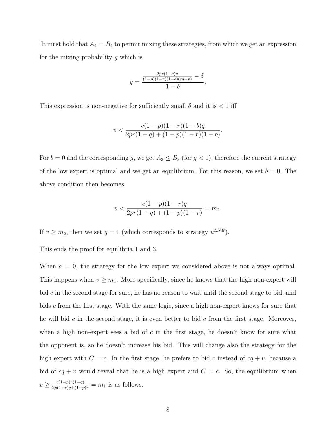It must hold that  $A_4 = B_4$  to permit mixing these strategies, from which we get an expression for the mixing probability *g* which is

$$
g = \frac{\frac{2pr(1-q)v}{(1-p)(1-r)(1-b)(cq-v)} - \delta}{1-\delta}.
$$

This expression is non-negative for sufficiently small  $\delta$  and it is  $\lt 1$  iff

$$
v < \frac{c(1-p)(1-r)(1-b)q}{2pr(1-q) + (1-p)(1-r)(1-b)}.
$$

For  $b = 0$  and the corresponding *g*, we get  $A_3 \leq B_3$  (for  $g < 1$ ), therefore the current strategy of the low expert is optimal and we get an equilibrium. For this reason, we set  $b = 0$ . The above condition then becomes

$$
v < \frac{c(1-p)(1-r)q}{2pr(1-q) + (1-p)(1-r)} = m_2.
$$

If  $v \geq m_2$ , then we set  $g = 1$  (which corresponds to strategy  $u^{LNE}$ ).

This ends the proof for equilibria 1 and 3.

When  $a = 0$ , the strategy for the low expert we considered above is not always optimal. This happens when  $v \geq m_1$ . More specifically, since he knows that the high non-expert will bid *c* in the second stage for sure, he has no reason to wait until the second stage to bid, and bids *c* from the first stage. With the same logic, since a high non-expert knows for sure that he will bid *c* in the second stage, it is even better to bid *c* from the first stage. Moreover, when a high non-expert sees a bid of *c* in the first stage, he doesn't know for sure what the opponent is, so he doesn't increase his bid. This will change also the strategy for the high expert with  $C = c$ . In the first stage, he prefers to bid *c* instead of  $cq + v$ , because a bid of  $cq + v$  would reveal that he is a high expert and  $C = c$ . So, the equilibrium when  $v \geq \frac{c(1-p)r(1-q)}{2p(1-r)q+(1-p)r} = m_1$  is as follows.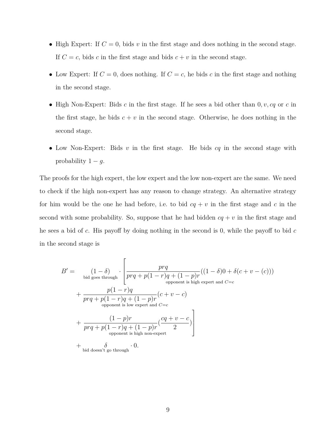- High Expert: If  $C = 0$ , bids  $v$  in the first stage and does nothing in the second stage. If  $C = c$ , bids *c* in the first stage and bids  $c + v$  in the second stage.
- Low Expert: If  $C = 0$ , does nothing. If  $C = c$ , he bids  $c$  in the first stage and nothing in the second stage.
- High Non-Expert: Bids *c* in the first stage. If he sees a bid other than 0*, v, cq* or *c* in the first stage, he bids  $c + v$  in the second stage. Otherwise, he does nothing in the second stage.
- Low Non-Expert: Bids *v* in the first stage. He bids *cq* in the second stage with probability  $1 - g$ .

The proofs for the high expert, the low expert and the low non-expert are the same. We need to check if the high non-expert has any reason to change strategy. An alternative strategy for him would be the one he had before, i.e. to bid  $cq + v$  in the first stage and c in the second with some probability. So, suppose that he had bidden  $cq + v$  in the first stage and he sees a bid of *c*. His payoff by doing nothing in the second is 0, while the payoff to bid *c* in the second stage is

$$
B' = \n\begin{bmatrix}\n(1-\delta) & \int \frac{prq}{prq + p(1-r)q + (1-p)r}((1-\delta)0 + \delta(c+v-(c))) \\
\frac{p(1-r)q}{\text{opponent is high expert and } C=c} & \frac{p(1-r)q}{prq + p(1-r)q + (1-p)r}(c+v-c) \\
\frac{(\delta) \text{opponent is low expert and } C=c} & \frac{(\delta) \text{opponent is low expert and } C=c} & \frac{(\delta) \text{opponent is high non-expert}}{2} \\
+\n\frac{(\delta) \text{opponent is high non-expert}}{2} & \frac{\delta}{\text{opponent is high non-expert}} & \frac{\delta}{\text{adjacent}} & \frac{\delta}{\text{opponent}} & \frac{\delta}{\text{opponent}} & \frac{\delta}{\text{opponent}} & \frac{\delta}{\text{opponent}} & \frac{\delta}{\text{opponent}} & \frac{\delta}{\text{oppoint}} & \frac{\delta}{\text{oppoint}} & \frac{\delta}{\text{oppoint}} & \frac{\delta}{\text{oppoint}} & \frac{\delta}{\text{oppoint}} & \frac{\delta}{\text{oppoint}} & \frac{\delta}{\text{oppoint}} & \frac{\delta}{\text{oppoint}} & \frac{\delta}{\text{oppoint}} & \frac{\delta}{\text{oppoint}} & \frac{\delta}{\text{oppoint}} & \frac{\delta}{\text{oppoint}} & \frac{\delta}{\text{oppoint}} & \frac{\delta}{\text{oppoint}} & \frac{\delta}{\text{oppoint}} & \frac{\delta}{\text{oppoint}} & \frac{\delta}{\text{oppoint}} & \frac{\delta}{\text{oppoint}} & \frac{\delta}{\text{oppoint}} & \frac{\delta}{\text{oppoint}} & \frac{\delta}{\text{oppoint}} & \frac{\delta}{\text{oppoint}} & \frac{\delta}{\text{oppoint}} & \frac{\delta}{\text{oppoint}} & \frac{\delta}{\text{oppoint}} & \frac{\delta}{\text{oppoint}} & \frac{\delta}{\text{oppoint}} & \frac{\delta}{\text{oppoint}} & \frac{\delta}{\text{oppoint}} & \frac{\delta}{\text{oppoint}} & \frac{\delta}{\text{oppoint}} & \frac{\delta}{\text{oppoint}} & \frac{\delta
$$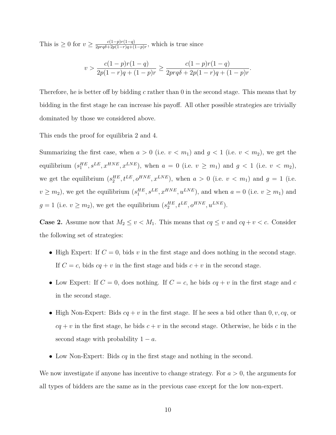This is  $\geq 0$  for  $v \geq \frac{c(1-p)r(1-q)}{2\pi r a \lambda + 2p(1-r)a + C}$  $\frac{c(1-p)r(1-q)}{2prq\delta+2p(1-r)q+(1-p)r}$ , which is true since

$$
v > \frac{c(1-p)r(1-q)}{2p(1-r)q + (1-p)r} \ge \frac{c(1-p)r(1-q)}{2prq\delta + 2p(1-r)q + (1-p)r}
$$

*.*

Therefore, he is better off by bidding *c* rather than 0 in the second stage. This means that by bidding in the first stage he can increase his payoff. All other possible strategies are trivially dominated by those we considered above.

This ends the proof for equilibria 2 and 4.

Summarizing the first case, when  $a > 0$  (i.e.  $v < m_1$ ) and  $g < 1$  (i.e.  $v < m_2$ ), we get the equilibrium  $(s_1^{HE}, s^{LE}, x^{HNE}, x^{LNE})$ , when  $a = 0$  (i.e.  $v \ge m_1$ ) and  $g < 1$  (i.e.  $v < m_2$ ), we get the equilibrium  $(s_2^{HE}, t^{LE}, o^{HNE}, x^{LNE})$ , when  $a > 0$  (i.e.  $v < m_1$ ) and  $g = 1$  (i.e.  $v \geq m_2$ ), we get the equilibrium  $(s_1^{HE}, s^{LE}, x^{HNE}, u^{LNE})$ , and when  $a = 0$  (i.e.  $v \geq m_1$ ) and  $g = 1$  (i.e.  $v \ge m_2$ ), we get the equilibrium  $(s_2^{HE}, t^{LE}, o^{HNE}, u^{LNE})$ .

**Case 2.** Assume now that  $M_2 \le v \le M_1$ . This means that  $cq \le v$  and  $cq + v < c$ . Consider the following set of strategies:

- High Expert: If  $C = 0$ , bids  $v$  in the first stage and does nothing in the second stage. If  $C = c$ , bids  $cq + v$  in the first stage and bids  $c + v$  in the second stage.
- Low Expert: If  $C = 0$ , does nothing. If  $C = c$ , he bids  $cq + v$  in the first stage and  $c$ in the second stage.
- High Non-Expert: Bids  $cq + v$  in the first stage. If he sees a bid other than  $0, v, cq,$  or  $cq + v$  in the first stage, he bids  $c + v$  in the second stage. Otherwise, he bids *c* in the second stage with probability  $1 - a$ .
- Low Non-Expert: Bids *cq* in the first stage and nothing in the second.

We now investigate if anyone has incentive to change strategy. For *a >* 0, the arguments for all types of bidders are the same as in the previous case except for the low non-expert.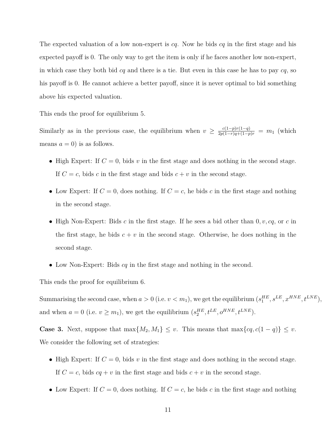The expected valuation of a low non-expert is *cq*. Now he bids *cq* in the first stage and his expected payoff is 0. The only way to get the item is only if he faces another low non-expert, in which case they both bid *cq* and there is a tie. But even in this case he has to pay *cq*, so his payoff is 0. He cannot achieve a better payoff, since it is never optimal to bid something above his expected valuation.

This ends the proof for equilibrium 5.

Similarly as in the previous case, the equilibrium when  $v \geq \frac{c(1-p)r(1-q)}{2p(1-r)q+(1-p)r} = m_1$  (which means  $a = 0$ ) is as follows.

- High Expert: If  $C = 0$ , bids  $v$  in the first stage and does nothing in the second stage. If  $C = c$ , bids *c* in the first stage and bids  $c + v$  in the second stage.
- Low Expert: If  $C = 0$ , does nothing. If  $C = c$ , he bids  $c$  in the first stage and nothing in the second stage.
- High Non-Expert: Bids *c* in the first stage. If he sees a bid other than 0*, v, cq*, or *c* in the first stage, he bids  $c + v$  in the second stage. Otherwise, he does nothing in the second stage.
- Low Non-Expert: Bids *cq* in the first stage and nothing in the second.

This ends the proof for equilibrium 6.

Summarising the second case, when  $a > 0$  (i.e.  $v < m_1$ ), we get the equilibrium  $(s_1^{HE}, s^{LE}, x^{HNE}, t^{LNE})$ , and when  $a = 0$  (i.e.  $v \ge m_1$ ), we get the equilibrium  $(s_2^{HE}, t^{LE}, o^{HNE}, t^{LNE})$ .

**Case 3.** Next, suppose that  $\max\{M_2, M_1\} \leq v$ . This means that  $\max\{cq, c(1-q)\} \leq v$ . We consider the following set of strategies:

- High Expert: If  $C = 0$ , bids  $v$  in the first stage and does nothing in the second stage. If  $C = c$ , bids  $cq + v$  in the first stage and bids  $c + v$  in the second stage.
- Low Expert: If  $C = 0$ , does nothing. If  $C = c$ , he bids  $c$  in the first stage and nothing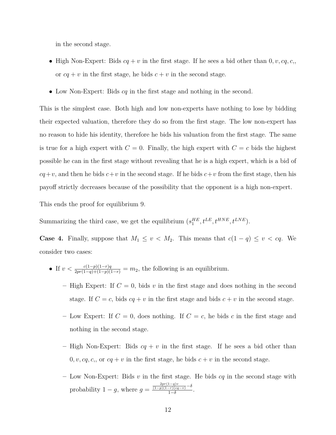in the second stage.

- High Non-Expert: Bids  $cq + v$  in the first stage. If he sees a bid other than  $0, v, cq, c$ , or  $cq + v$  in the first stage, he bids  $c + v$  in the second stage.
- Low Non-Expert: Bids *cq* in the first stage and nothing in the second.

This is the simplest case. Both high and low non-experts have nothing to lose by bidding their expected valuation, therefore they do so from the first stage. The low non-expert has no reason to hide his identity, therefore he bids his valuation from the first stage. The same is true for a high expert with  $C = 0$ . Finally, the high expert with  $C = c$  bids the highest possible he can in the first stage without revealing that he is a high expert, which is a bid of  $cq+v$ , and then he bids  $c+v$  in the second stage. If he bids  $c+v$  from the first stage, then his payoff strictly decreases because of the possibility that the opponent is a high non-expert.

This ends the proof for equilibrium 9.

Summarizing the third case, we get the equilibrium  $(s_1^{HE}, t^{LE}, t^{HNE}, t^{LNE})$ .

**Case 4.** Finally, suppose that  $M_1 \leq v < M_2$ . This means that  $c(1 - q) \leq v < cq$ . We consider two cases:

- If  $v < \frac{c(1-p)(1-r)q}{2pr(1-q)+(1-p)(1-r)} = m_2$ , the following is an equilibrium.
	- **–** High Expert: If *C* = 0, bids *v* in the first stage and does nothing in the second stage. If  $C = c$ , bids  $cq + v$  in the first stage and bids  $c + v$  in the second stage.
	- Low Expert: If  $C = 0$ , does nothing. If  $C = c$ , he bids *c* in the first stage and nothing in the second stage.
	- **–** High Non-Expert: Bids *cq* + *v* in the first stage. If he sees a bid other than  $0, v, cq, c$ , or  $cq + v$  in the first stage, he bids  $c + v$  in the second stage.
	- **–** Low Non-Expert: Bids *v* in the first stage. He bids *cq* in the second stage with probability  $1 - g$ , where  $g = \frac{\frac{2pr(1-g)v}{(1-p)(1-r)(eq-v)} - \delta}{1-\delta}$  $\frac{(-r)(cq-v)}{1-\delta}$ .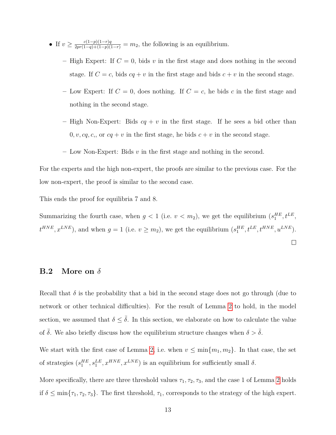- If  $v \geq \frac{c(1-p)(1-r)q}{2pr(1-q)+(1-p)(1-r)} = m_2$ , the following is an equilibrium.
	- High Expert: If  $C = 0$ , bids v in the first stage and does nothing in the second stage. If  $C = c$ , bids  $cq + v$  in the first stage and bids  $c + v$  in the second stage.
	- Low Expert: If  $C = 0$ , does nothing. If  $C = c$ , he bids *c* in the first stage and nothing in the second stage.
	- **–** High Non-Expert: Bids *cq* + *v* in the first stage. If he sees a bid other than  $0, v, cq, c$ , or  $cq + v$  in the first stage, he bids  $c + v$  in the second stage.
	- **–** Low Non-Expert: Bids *v* in the first stage and nothing in the second.

For the experts and the high non-expert, the proofs are similar to the previous case. For the low non-expert, the proof is similar to the second case.

This ends the proof for equilibria 7 and 8.

Summarizing the fourth case, when  $g < 1$  (i.e.  $v < m_2$ ), we get the equilibrium  $(s_1^{HE}, t^{LE}, t^{LE})$  $t^{HNE}, x^{LNE}$ , and when  $g = 1$  (i.e.  $v \ge m_2$ ), we get the equilibrium  $(s_1^{HE}, t^{LE}, t^{HNE}, u^{LNE})$ .

 $\Box$ 

# <span id="page-12-0"></span>**B.2 More on** *δ*

Recall that  $\delta$  is the probability that a bid in the second stage does not go through (due to network or other technical difficulties). For the result of Lemma [2](#page-0-0) to hold, in the model section, we assumed that  $\delta \leq \overline{\delta}$ . In this section, we elaborate on how to calculate the value of  $\delta$ . We also briefly discuss how the equilibrium structure changes when  $\delta > \overline{\delta}$ .

We start with the first case of Lemma [2,](#page-0-0) i.e. when  $v \le \min\{m_1, m_2\}$ . In that case, the set of strategies  $(s_1^{HE}, s_1^{LE}, x^{HNE}, x^{LNE})$  is an equilibrium for sufficiently small  $\delta$ .

More specifically, there are three threshold values  $\tau_1, \tau_2, \tau_3$ , and the case 1 of Lemma [2](#page-0-0) holds if  $\delta \le \min\{\tau_1, \tau_2, \tau_3\}$ . The first threshold,  $\tau_1$ , corresponds to the strategy of the high expert.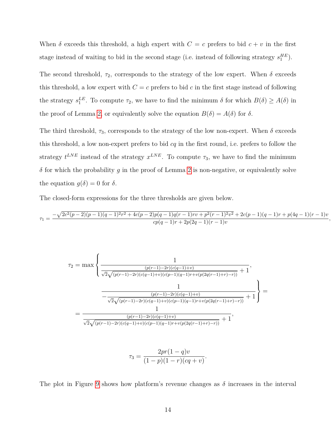When  $\delta$  exceeds this threshold, a high expert with  $C = c$  prefers to bid  $c + v$  in the first stage instead of waiting to bid in the second stage (i.e. instead of following strategy  $s_1^{HE}$ ).

The second threshold,  $\tau_2$ , corresponds to the strategy of the low expert. When  $\delta$  exceeds this threshold, a low expert with  $C = c$  prefers to bid  $c$  in the first stage instead of following the strategy  $s_1^{LE}$ . To compute  $\tau_2$ , we have to find the minimum  $\delta$  for which  $B(\delta) \geq A(\delta)$  in the proof of Lemma [2,](#page-0-0) or equivalently solve the equation  $B(\delta) = A(\delta)$  for  $\delta$ .

The third threshold,  $\tau_3$ , corresponds to the strategy of the low non-expert. When  $\delta$  exceeds this threshold, a low non-expert prefers to bid *cq* in the first round, i.e. prefers to follow the strategy  $t^{LNE}$  instead of the strategy  $x^{LNE}$ . To compute  $\tau_3$ , we have to find the minimum *δ* for which the probability *g* in the proof of Lemma [2](#page-0-0) is non-negative, or equivalently solve the equation  $g(\delta) = 0$  for  $\delta$ .

The closed-form expressions for the three thresholds are given below.

$$
\tau_1 = \frac{-\sqrt{2c^2(p-2)(p-1)(q-1)^2r^2 + 4c(p-2)p(q-1)q(r-1)rv + p^2(r-1)^2v^2} + 2c(p-1)(q-1)r + p(4q-1)(r-1)v}{cp(q-1)r + 2p(2q-1)(r-1)v}
$$

*,*



$$
\tau_3 = \frac{2pr(1-q)v}{(1-p)(1-r)(cq+v)}.
$$

The plot in Figure [9](#page-14-0) shows how platform's revenue changes as  $\delta$  increases in the interval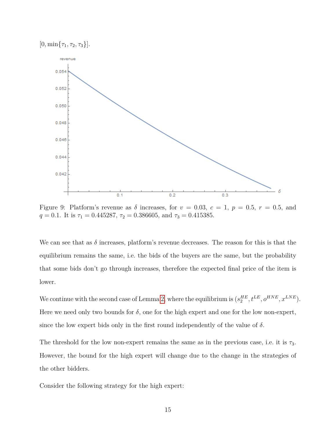$[0, \min\{\tau_1, \tau_2, \tau_3\}].$ 

<span id="page-14-0"></span>

Figure 9: Platform's revenue as  $\delta$  increases, for  $v = 0.03$ ,  $c = 1$ ,  $p = 0.5$ ,  $r = 0.5$ , and *q* = 0.1. It is  $\tau_1 = 0.445287$ ,  $\tau_2 = 0.386605$ , and  $\tau_3 = 0.415385$ .

We can see that as  $\delta$  increases, platform's revenue decreases. The reason for this is that the equilibrium remains the same, i.e. the bids of the buyers are the same, but the probability that some bids don't go through increases, therefore the expected final price of the item is lower.

We continue with the second case of Lemma [2,](#page-0-0) where the equilibrium is  $(s_2^{HE}, t^{LE}, o^{HNE}, x^{LNE})$ . Here we need only two bounds for  $\delta$ , one for the high expert and one for the low non-expert, since the low expert bids only in the first round independently of the value of  $\delta$ .

The threshold for the low non-expert remains the same as in the previous case, i.e. it is  $\tau_3$ . However, the bound for the high expert will change due to the change in the strategies of the other bidders.

Consider the following strategy for the high expert: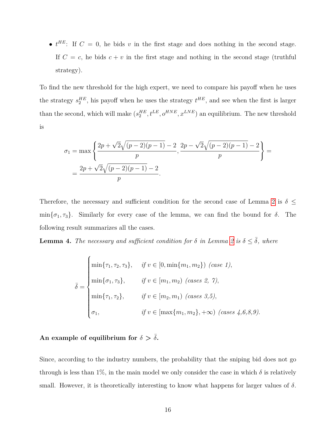•  $t^{HE}$ : If  $C = 0$ , he bids *v* in the first stage and does nothing in the second stage. If  $C = c$ , he bids  $c + v$  in the first stage and nothing in the second stage (truthful strategy).

To find the new threshold for the high expert, we need to compare his payoff when he uses the strategy  $s_2^{HE}$ , his payoff when he uses the strategy  $t^{HE}$ , and see when the first is larger than the second, which will make  $(s_2^{HE}, t^{LE}, o^{HNE}, x^{LNE})$  an equilibrium. The new threshold is

$$
\sigma_1 = \max\left\{\frac{2p + \sqrt{2}\sqrt{(p-2)(p-1)} - 2}{p}, \frac{2p - \sqrt{2}\sqrt{(p-2)(p-1)} - 2}{p}\right\} = \frac{2p + \sqrt{2}\sqrt{(p-2)(p-1)} - 2}{p}.
$$

Therefore, the necessary and sufficient condition for the second case of Lemma [2](#page-0-0) is  $\delta \leq$ min ${\lbrace \sigma_1, \tau_3 \rbrace}$ . Similarly for every case of the lemma, we can find the bound for *δ*. The following result summarizes all the cases.

<span id="page-15-0"></span>**Lemma 4.** *The necessary and sufficient condition for*  $\delta$  *in Lemma [2](#page-0-0) is*  $\delta \leq \overline{\delta}$ *, where* 

$$
\bar{\delta} = \begin{cases}\n\min\{\tau_1, \tau_2, \tau_3\}, & \text{if } v \in [0, \min\{m_1, m_2\}) \text{ (case 1)}, \\
\min\{\sigma_1, \tau_3\}, & \text{if } v \in [m_1, m_2) \text{ (cases 2, 7)}, \\
\min\{\tau_1, \tau_2\}, & \text{if } v \in [m_2, m_1) \text{ (cases 3,5)}, \\
\sigma_1, & \text{if } v \in [\max\{m_1, m_2\}, +\infty) \text{ (cases 4,6,8,9)}.\n\end{cases}
$$

# An example of equilibrium for  $\delta > \bar{\delta}$ .

Since, according to the industry numbers, the probability that the sniping bid does not go through is less than 1%, in the main model we only consider the case in which  $\delta$  is relatively small. However, it is theoretically interesting to know what happens for larger values of *δ*.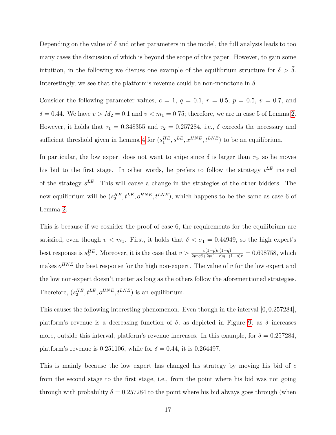Depending on the value of  $\delta$  and other parameters in the model, the full analysis leads to too many cases the discussion of which is beyond the scope of this paper. However, to gain some intuition, in the following we discuss one example of the equilibrium structure for  $\delta > \bar{\delta}$ . Interestingly, we see that the platform's revenue could be non-monotone in  $\delta$ .

Consider the following parameter values,  $c = 1$ ,  $q = 0.1$ ,  $r = 0.5$ ,  $p = 0.5$ ,  $v = 0.7$ , and  $\delta = 0.44$ . We have  $v > M_2 = 0.1$  and  $v < m_1 = 0.75$ ; therefore, we are in case 5 of Lemma [2.](#page-0-0) However, it holds that  $\tau_1 = 0.348355$  and  $\tau_2 = 0.257284$ , i.e.,  $\delta$  exceeds the necessary and sufficient threshold given in Lemma [4](#page-15-0) for  $(s_1^{HE}, s^{LE}, x^{HNE}, t^{LNE})$  to be an equilibrium.

In particular, the low expert does not want to snipe since  $\delta$  is larger than  $\tau_2$ , so he moves his bid to the first stage. In other words, he prefers to follow the strategy *t LE* instead of the strategy *s LE*. This will cause a change in the strategies of the other bidders. The new equilibrium will be  $(s_2^{HE}, t^{LE}, o^{HNE}, t^{LNE})$ , which happens to be the same as case 6 of Lemma [2.](#page-0-0)

This is because if we cosnider the proof of case 6, the requirements for the equilibrium are satisfied, even though  $v < m_1$ . First, it holds that  $\delta < \sigma_1 = 0.44949$ , so the high expert's best response is  $s_2^{HE}$ . Moreover, it is the case that  $v > \frac{c(1-p)r(1-q)}{2prq\delta+2p(1-r)q+(1-p)r} = 0.698758$ , which makes  $o^{HNE}$  the best response for the high non-expert. The value of *v* for the low expert and the low non-expert doesn't matter as long as the others follow the aforementioned strategies. Therefore,  $(s_2^{HE}, t^{LE}, o^{HNE}, t^{LNE})$  is an equilibrium.

This causes the following interesting phenomenon. Even though in the interval [0*,* 0*.*257284], platform's revenue is a decreasing function of  $\delta$ , as depicted in Figure [9;](#page-14-0) as  $\delta$  increases more, outside this interval, platform's revenue increases. In this example, for  $\delta = 0.257284$ , platform's revenue is 0.251106, while for  $\delta = 0.44$ , it is 0.264497.

This is mainly because the low expert has changed his strategy by moving his bid of *c* from the second stage to the first stage, i.e., from the point where his bid was not going through with probability  $\delta = 0.257284$  to the point where his bid always goes through (when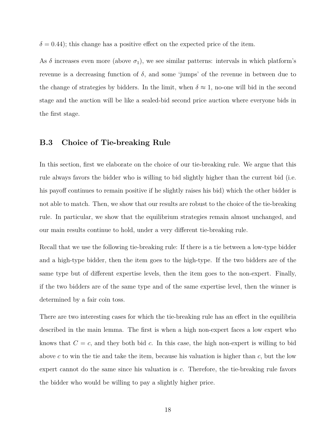$\delta$  = 0.44); this change has a positive effect on the expected price of the item.

As  $\delta$  increases even more (above  $\sigma_1$ ), we see similar patterns: intervals in which platform's revenue is a decreasing function of *δ*, and some 'jumps' of the revenue in between due to the change of strategies by bidders. In the limit, when  $\delta \approx 1$ , no-one will bid in the second stage and the auction will be like a sealed-bid second price auction where everyone bids in the first stage.

## <span id="page-17-0"></span>**B.3 Choice of Tie-breaking Rule**

In this section, first we elaborate on the choice of our tie-breaking rule. We argue that this rule always favors the bidder who is willing to bid slightly higher than the current bid (i.e. his payoff continues to remain positive if he slightly raises his bid) which the other bidder is not able to match. Then, we show that our results are robust to the choice of the tie-breaking rule. In particular, we show that the equilibrium strategies remain almost unchanged, and our main results continue to hold, under a very different tie-breaking rule.

Recall that we use the following tie-breaking rule: If there is a tie between a low-type bidder and a high-type bidder, then the item goes to the high-type. If the two bidders are of the same type but of different expertise levels, then the item goes to the non-expert. Finally, if the two bidders are of the same type and of the same expertise level, then the winner is determined by a fair coin toss.

There are two interesting cases for which the tie-breaking rule has an effect in the equilibria described in the main lemma. The first is when a high non-expert faces a low expert who knows that  $C = c$ , and they both bid c. In this case, the high non-expert is willing to bid above *c* to win the tie and take the item, because his valuation is higher than *c*, but the low expert cannot do the same since his valuation is *c*. Therefore, the tie-breaking rule favors the bidder who would be willing to pay a slightly higher price.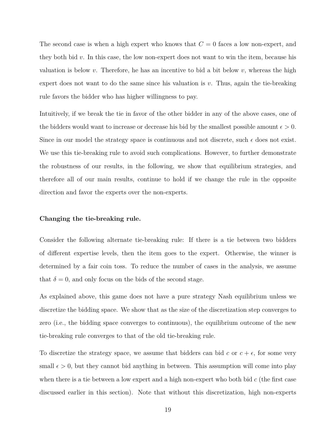The second case is when a high expert who knows that *C* = 0 faces a low non-expert, and they both bid *v*. In this case, the low non-expert does not want to win the item, because his valuation is below *v*. Therefore, he has an incentive to bid a bit below *v*, whereas the high expert does not want to do the same since his valuation is *v*. Thus, again the tie-breaking rule favors the bidder who has higher willingness to pay.

Intuitively, if we break the tie in favor of the other bidder in any of the above cases, one of the bidders would want to increase or decrease his bid by the smallest possible amount  $\epsilon > 0$ . Since in our model the strategy space is continuous and not discrete, such  $\epsilon$  does not exist. We use this tie-breaking rule to avoid such complications. However, to further demonstrate the robustness of our results, in the following, we show that equilibrium strategies, and therefore all of our main results, continue to hold if we change the rule in the opposite direction and favor the experts over the non-experts.

#### **Changing the tie-breaking rule.**

Consider the following alternate tie-breaking rule: If there is a tie between two bidders of different expertise levels, then the item goes to the expert. Otherwise, the winner is determined by a fair coin toss. To reduce the number of cases in the analysis, we assume that  $\delta = 0$ , and only focus on the bids of the second stage.

As explained above, this game does not have a pure strategy Nash equilibrium unless we discretize the bidding space. We show that as the size of the discretization step converges to zero (i.e., the bidding space converges to continuous), the equilibrium outcome of the new tie-breaking rule converges to that of the old tie-breaking rule.

To discretize the strategy space, we assume that bidders can bid *c* or  $c + \epsilon$ , for some very small  $\epsilon > 0$ , but they cannot bid anything in between. This assumption will come into play when there is a tie between a low expert and a high non-expert who both bid *c* (the first case discussed earlier in this section). Note that without this discretization, high non-experts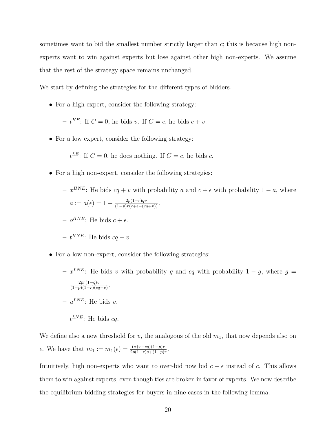sometimes want to bid the smallest number strictly larger than *c*; this is because high nonexperts want to win against experts but lose against other high non-experts. We assume that the rest of the strategy space remains unchanged.

We start by defining the strategies for the different types of bidders.

• For a high expert, consider the following strategy:

 $-t^{HE}$ : If  $C = 0$ , he bids *v*. If  $C = c$ , he bids  $c + v$ .

• For a low expert, consider the following strategy:

 $-t^{LE}$ : If  $C = 0$ , he does nothing. If  $C = c$ , he bids *c*.

- For a high non-expert, consider the following strategies:
	- $-\int x^{HNE}$ : He bids  $cq + v$  with probability *a* and  $c + \epsilon$  with probability  $1 a$ , where  $a := a(\epsilon) = 1 - \frac{2p(1-r)qv}{(1-p)r(c+\epsilon-(cq+v))}.$  $o^{HNE}$ : He bids  $c + \epsilon$ .
	- $t^{HNE}$ : He bids  $cq + v$ .
- For a low non-expert, consider the following strategies:
	- $-\frac{x^{LNE}}{L}$ : He bids *v* with probability *g* and *cq* with probability 1 *g*, where *g* = 2*pr*(1−*q*)*v*  $\frac{2pr(1-q)v}{(1-p)(1-r)(cq-v)}.$  $- u^{LNE}$ : He bids *v*.
	- **–** *t LNE*: He bids *cq*.

We define also a new threshold for  $v$ , the analogous of the old  $m_1$ , that now depends also on *e*. We have that  $m_1 := m_1(\epsilon) = \frac{(c+\epsilon-cq)(1-p)r}{2p(1-r)q+(1-p)r}$ .

Intuitively, high non-experts who want to over-bid now bid  $c + \epsilon$  instead of *c*. This allows them to win against experts, even though ties are broken in favor of experts. We now describe the equilibrium bidding strategies for buyers in nine cases in the following lemma.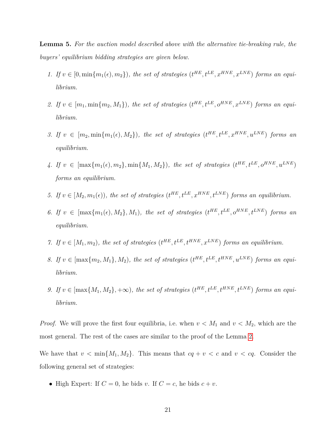<span id="page-20-0"></span>**Lemma 5.** *For the auction model described above with the alternative tie-breaking rule, the buyers' equilibrium bidding strategies are given below.*

- *1.* If  $v \in [0, \min\{m_1(\epsilon), m_2\})$ , the set of strategies  $(t^{HE}, t^{LE}, x^{HNE}, x^{LNE})$  forms an equi*librium.*
- 2. If  $v \in [m_1, \min\{m_2, M_1\})$ , the set of strategies  $(t^{HE}, t^{LE}, o^{HNE}, x^{LNE})$  forms an equi*librium.*
- 3. If  $v \in [m_2, \min\{m_1(\epsilon), M_2\})$ , the set of strategies  $(t^{HE}, t^{LE}, x^{HNE}, u^{LNE})$  forms an *equilibrium.*
- $4.$  If  $v \in [\max\{m_1(\epsilon), m_2\}, \min\{M_1, M_2\})$ , the set of strategies  $(t^{HE}, t^{LE}, o^{HNE}, u^{LNE})$ *forms an equilibrium.*
- *5.* If  $v \in [M_2, m_1(\epsilon))$ , the set of strategies  $(t^{HE}, t^{LE}, x^{HNE}, t^{LNE})$  forms an equilibrium.
- 6. If  $v \in [\max\{m_1(\epsilon), M_2\}, M_1)$ , the set of strategies  $(t^{HE}, t^{LE}, o^{HNE}, t^{LNE})$  forms an *equilibrium.*
- *7.* If  $v \in [M_1, m_2)$ , the set of strategies  $(t^{HE}, t^{LE}, t^{HNE}, x^{LNE})$  forms an equilibrium.
- *8.* If  $v \in \left[\max\{m_2, M_1\}, M_2\right)$ , the set of strategies  $(t^{HE}, t^{LE}, t^{HNE}, u^{LNE})$  forms an equi*librium.*
- *9.* If  $v \in [\max\{M_1, M_2\}, +\infty)$ , the set of strategies  $(t^{HE}, t^{LE}, t^{HNE}, t^{LNE})$  forms an equi*librium.*

*Proof.* We will prove the first four equilibria, i.e. when  $v < M_1$  and  $v < M_2$ , which are the most general. The rest of the cases are similar to the proof of the Lemma [2.](#page-0-0)

We have that  $v < \min\{M_1, M_2\}$ . This means that  $cq + v < c$  and  $v < cq$ . Consider the following general set of strategies:

• High Expert: If  $C = 0$ , he bids *v*. If  $C = c$ , he bids  $c + v$ .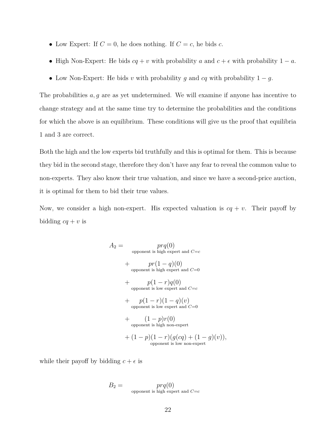- Low Expert: If  $C = 0$ , he does nothing. If  $C = c$ , he bids  $c$ .
- High Non-Expert: He bids  $cq + v$  with probability *a* and  $c + \epsilon$  with probability  $1 a$ .
- Low Non-Expert: He bids  $v$  with probability  $g$  and  $cq$  with probability  $1 g$ .

The probabilities *a, g* are as yet undetermined. We will examine if anyone has incentive to change strategy and at the same time try to determine the probabilities and the conditions for which the above is an equilibrium. These conditions will give us the proof that equilibria 1 and 3 are correct.

Both the high and the low experts bid truthfully and this is optimal for them. This is because they bid in the second stage, therefore they don't have any fear to reveal the common value to non-experts. They also know their true valuation, and since we have a second-price auction, it is optimal for them to bid their true values.

Now, we consider a high non-expert. His expected valuation is  $cq + v$ . Their payoff by bidding  $cq + v$  is

$$
A_2 = \n\begin{aligned}\n & prq(0) \\
 & \text{opponent is high expert and } C = c \\
 & + \quad pr(1 - q)(0) \\
 & \text{opponent is high expert and } C = 0 \\
 & + \quad p(1 - r)q(0) \\
 & \text{opponent is low expert and } C = c \\
 & + \quad p(1 - r)(1 - q)(v) \\
 & \text{opponent is low expert and } C = 0 \\
 & + \quad (1 - p)r(0) \\
 & \text{opponent is high non-expert} \\
 & + (1 - p)(1 - r)(g(cq) + (1 - g)(v)), \\
 & \text{opponent is low non-expert}\n \end{aligned}
$$

while their payoff by bidding  $c + \epsilon$  is

$$
B_2 = \n\begin{cases} \n\text{propoment is high expert and } C = c\n\end{cases}
$$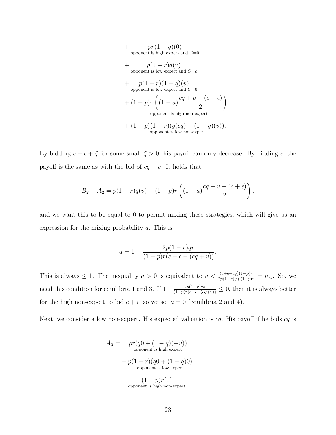+ 
$$
pr(1-q)(0)
$$
  
\n
$$
+ p(1-r)q(v)
$$
\n+  $p(1-r)q(v)$   
\n
$$
+ p(1-r)(1-q)(v)
$$
\n+  $p(1-r)(1-q)(v)$   
\n
$$
+ (1-p)r \left( (1-a) \frac{cq+v-(c+\epsilon)}{2} \right)
$$
\n-  $p$  (1-p)r (1-q)(q(cq) + (1-q)(v)).  
\n-  $p$  (1-p)(1-r)(q(cq) + (1-g)(v)).  
\n-  $p$  (1-p)(1-r)(q(cq) + (1-g)(v)).

By bidding  $c + \epsilon + \zeta$  for some small  $\zeta > 0$ , his payoff can only decrease. By bidding *c*, the payoff is the same as with the bid of  $cq + v$ . It holds that

$$
B_2 - A_2 = p(1 - r)q(v) + (1 - p)r\left((1 - a)\frac{cq + v - (c + \epsilon)}{2}\right),
$$

and we want this to be equal to 0 to permit mixing these strategies, which will give us an expression for the mixing probability *a*. This is

$$
a = 1 - \frac{2p(1-r)qv}{(1-p)r(c+\epsilon - (cq+v))}.
$$

This is always  $\leq 1$ . The inequality  $a > 0$  is equivalent to  $v < \frac{(c+\epsilon-cq)(1-p)r}{2p(1-r)q+(1-p)r} = m_1$ . So, we need this condition for equilibria 1 and 3. If  $1 - \frac{2p(1-r)qv}{(1-p)r(c+\epsilon-(cq+v))} \leq 0$ , then it is always better for the high non-expert to bid  $c + \epsilon$ , so we set  $a = 0$  (equilibria 2 and 4).

Next, we consider a low non-expert. His expected valuation is *cq*. His payoff if he bids *cq* is

$$
A_3 = \npr(q0 + (1 - q)(-v))
$$
\n
$$
+ p(1 - r)(q0 + (1 - q)0)
$$
\n
$$
+ p(1 - r)(q0 + (1 - q)0)
$$
\n
$$
+ (1 - p)r(0)
$$
\n
$$
=
$$
\n
$$
+ (1 - p)r(0)
$$
\n
$$
=
$$
\n
$$
+
$$
\n
$$
+ (1 - p)r(0)
$$
\n
$$
=
$$
\n
$$
+
$$
\n
$$
+ (1 - p)r(0)
$$
\n
$$
=
$$
\n
$$
+
$$
\n
$$
+ (1 - p)r(0)
$$
\n
$$
=
$$
\n
$$
+
$$
\n
$$
+ (1 - p)r(0)
$$
\n
$$
=
$$
\n
$$
+ (1 - p)r(0)
$$
\n
$$
=
$$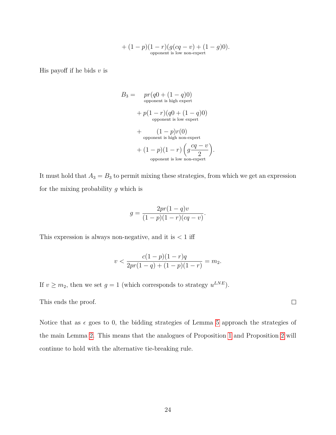+ 
$$
(1-p)(1-r)(g(cq-v)+(1-g)0)
$$
.  
opponent is low non-expert

His payoff if he bids  $v$  is

$$
B_3 = \n\begin{aligned}\n\text{pr}(q0 + (1 - q)0) \\
\text{opponent is high expert} \\
&+ p(1 - r)(q0 + (1 - q)0) \\
\text{opponent is low expert} \\
&+ (1 - p)r(0) \\
\text{opponent is high non-expert} \\
&+ (1 - p)(1 - r)\left(g\frac{cq - v}{2}\right).\n\end{aligned}
$$
\n
$$
\text{opponent is low non-expert}
$$

It must hold that  $A_3 = B_3$  to permit mixing these strategies, from which we get an expression for the mixing probability *g* which is

$$
g = \frac{2pr(1-q)v}{(1-p)(1-r)(cq-v)}.
$$

This expression is always non-negative, and it is *<* 1 iff

$$
v < \frac{c(1-p)(1-r)q}{2pr(1-q) + (1-p)(1-r)} = m_2.
$$

If  $v \geq m_2$ , then we set  $g = 1$  (which corresponds to strategy  $u^{LNE}$ ).

This ends the proof.

Notice that as  $\epsilon$  goes to 0, the bidding strategies of Lemma [5](#page-20-0) approach the strategies of the main Lemma [2.](#page-0-0) This means that the analogues of Proposition [1](#page-0-0) and Proposition [2](#page-0-0) will continue to hold with the alternative tie-breaking rule.

 $\Box$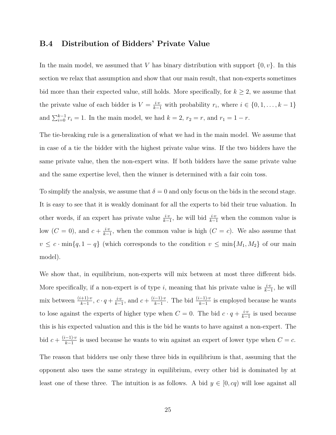## <span id="page-24-0"></span>**B.4 Distribution of Bidders' Private Value**

In the main model, we assumed that *V* has binary distribution with support  $\{0, v\}$ . In this section we relax that assumption and show that our main result, that non-experts sometimes bid more than their expected value, still holds. More specifically, for  $k \geq 2$ , we assume that the private value of each bidder is  $V = \frac{i \cdot v}{k-1}$  with probability  $r_i$ , where  $i \in \{0, 1, \ldots, k-1\}$ and  $\sum_{i=0}^{k-1} r_i = 1$ . In the main model, we had  $k = 2$ ,  $r_2 = r$ , and  $r_1 = 1 - r$ .

The tie-breaking rule is a generalization of what we had in the main model. We assume that in case of a tie the bidder with the highest private value wins. If the two bidders have the same private value, then the non-expert wins. If both bidders have the same private value and the same expertise level, then the winner is determined with a fair coin toss.

To simplify the analysis, we assume that  $\delta = 0$  and only focus on the bids in the second stage. It is easy to see that it is weakly dominant for all the experts to bid their true valuation. In other words, if an expert has private value  $\frac{i \cdot v}{k-1}$ , he will bid  $\frac{i \cdot v}{k-1}$  when the common value is low  $(C = 0)$ , and  $c + \frac{i \cdot v}{k - 1}$  $\frac{i \cdot v}{k-1}$ , when the common value is high (*C* = *c*). We also assume that  $v \leq c \cdot \min\{q, 1-q\}$  (which corresponds to the condition  $v \leq \min\{M_1, M_2\}$  of our main model).

We show that, in equilibrium, non-experts will mix between at most three different bids. More specifically, if a non-expert is of type *i*, meaning that his private value is  $\frac{i \cdot v}{k-1}$ , he will mix between  $\frac{(i+1)\cdot v}{k-1}$ ,  $c \cdot q + \frac{i \cdot v}{k-1}$  $\frac{i \cdot v}{k-1}$ , and  $c + \frac{(i-1) \cdot v}{k-1}$  $\frac{(-1)^n v}{k-1}$ . The bid  $\frac{(i-1)v}{k-1}$  is employed because he wants to lose against the experts of higher type when  $C = 0$ . The bid  $c \cdot q + \frac{i v}{l}$  $\frac{i \cdot v}{k-1}$  is used because this is his expected valuation and this is the bid he wants to have against a non-expert. The bid  $c + \frac{(i-1)\cdot v}{k-1}$  $\frac{(-1)^n v}{k-1}$  is used because he wants to win against an expert of lower type when  $C = c$ .

The reason that bidders use only these three bids in equilibrium is that, assuming that the opponent also uses the same strategy in equilibrium, every other bid is dominated by at least one of these three. The intuition is as follows. A bid  $y \in [0, cq)$  will lose against all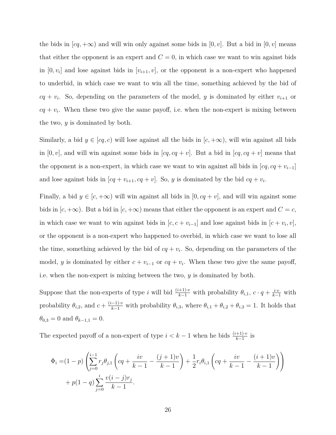the bids in  $|cq, +\infty$  and will win only against some bids in  $|0, v|$ . But a bid in  $|0, v|$  means that either the opponent is an expert and  $C = 0$ , in which case we want to win against bids in  $[0, v_i]$  and lose against bids in  $[v_{i+1}, v]$ , or the opponent is a non-expert who happened to underbid, in which case we want to win all the time, something achieved by the bid of  $cq + v_i$ . So, depending on the parameters of the model, *y* is dominated by either  $v_{i+1}$  or  $cq + v_i$ . When these two give the same payoff, i.e. when the non-expert is mixing between the two, *y* is dominated by both.

Similarly, a bid  $y \in [cq, c)$  will lose against all the bids in  $[c, +\infty)$ , will win against all bids in  $[0, v]$ , and will win against some bids in  $[cq, cq + v]$ . But a bid in  $[cq, cq + v]$  means that the opponent is a non-expert, in which case we want to win against all bids in  $[cq, cq + v<sub>i-1</sub>]$ and lose against bids in  $[cq + v_{i+1}, cq + v]$ . So, *y* is dominated by the bid  $cq + v_i$ .

Finally, a bid  $y \in [c, +\infty)$  will win against all bids in  $[0, cq + v]$ , and will win against some bids in  $[c, +\infty)$ . But a bid in  $[c, +\infty)$  means that either the opponent is an expert and  $C = c$ , in which case we want to win against bids in  $[c, c + v_{i-1}]$  and lose against bids in  $[c + v_i, v]$ , or the opponent is a non-expert who happened to overbid, in which case we want to lose all the time, something achieved by the bid of  $cq + v_i$ . So, depending on the parameters of the model, *y* is dominated by either  $c + v_{i-1}$  or  $cq + v_i$ . When these two give the same payoff, i.e. when the non-expert is mixing between the two, *y* is dominated by both.

Suppose that the non-experts of type *i* will bid  $\frac{(i+1)\cdot v}{k-1}$  with probability  $\theta_{i,1}$ ,  $c \cdot q + \frac{i \cdot v}{k-1}$  with probability  $\theta_{i,2}$ , and  $c + \frac{(i-1)\cdot v}{k-1}$  with probability  $\theta_{i,3}$ , where  $\theta_{i,1} + \theta_{i,2} + \theta_{i,3} = 1$ . It holds that  $\theta_{0,3} = 0$  and  $\theta_{k-1,1} = 0$ .

The expected payoff of a non-expert of type  $i < k - 1$  when he bids  $\frac{(i+1)\cdot v}{k-1}$  is

$$
\Phi_i = (1-p) \left( \sum_{j=0}^{i-1} r_j \theta_{j,1} \left( cq + \frac{iv}{k-1} - \frac{(j+1)v}{k-1} \right) + \frac{1}{2} r_i \theta_{i,1} \left( cq + \frac{iv}{k-1} - \frac{(i+1)v}{k-1} \right) \right) + p(1-q) \sum_{j=0}^{i} \frac{v(i-j)r_j}{k-1}.
$$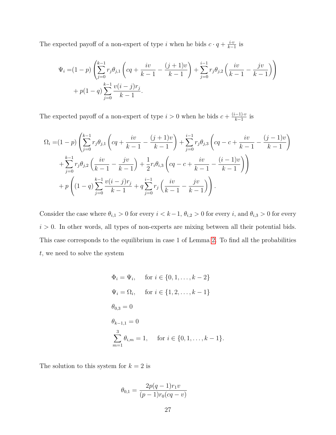The expected payoff of a non-expert of type *i* when he bids  $c \cdot q + \frac{i \cdot v}{l}$  $\frac{i \cdot v}{k-1}$  is

$$
\Psi_i = (1-p) \left( \sum_{j=0}^{k-1} r_j \theta_{j,1} \left( cq + \frac{iv}{k-1} - \frac{(j+1)v}{k-1} \right) + \sum_{j=0}^{i-1} r_j \theta_{j,2} \left( \frac{iv}{k-1} - \frac{jv}{k-1} \right) \right) + p(1-q) \sum_{j=0}^{k-1} \frac{v(i-j)r_j}{k-1}.
$$

The expected payoff of a non-expert of type  $i > 0$  when he bids  $c + \frac{(i-1)\cdot v}{k-1}$  $\frac{(-1)\cdot v}{k-1}$  is

$$
\Omega_{i} = (1-p) \left( \sum_{j=0}^{k-1} r_{j} \theta_{j,1} \left( cq + \frac{iv}{k-1} - \frac{(j+1)v}{k-1} \right) + \sum_{j=0}^{i-1} r_{j} \theta_{j,3} \left( cq - c + \frac{iv}{k-1} - \frac{(j-1)v}{k-1} \right) + \sum_{j=0}^{k-1} r_{j} \theta_{j,2} \left( \frac{iv}{k-1} - \frac{jv}{k-1} \right) + \frac{1}{2} r_{i} \theta_{i,3} \left( cq - c + \frac{iv}{k-1} - \frac{(i-1)v}{k-1} \right) + p \left( (1-q) \sum_{j=0}^{k-1} \frac{v(i-j)r_j}{k-1} + q \sum_{j=0}^{i-1} r_{j} \left( \frac{iv}{k-1} - \frac{jv}{k-1} \right) \right).
$$

Consider the case where  $\theta_{i,1} > 0$  for every  $i < k-1$ ,  $\theta_{i,2} > 0$  for every  $i$ , and  $\theta_{i,3} > 0$  for every  $i > 0$ . In other words, all types of non-experts are mixing between all their potential bids. This case corresponds to the equilibrium in case 1 of Lemma [2.](#page-0-0) To find all the probabilities *t*, we need to solve the system

$$
\Phi_i = \Psi_i, \quad \text{for } i \in \{0, 1, \dots, k-2\}
$$
  
\n
$$
\Psi_i = \Omega_i, \quad \text{for } i \in \{1, 2, \dots, k-1\}
$$
  
\n
$$
\theta_{0,3} = 0
$$
  
\n
$$
\theta_{k-1,1} = 0
$$
  
\n
$$
\sum_{m=1}^3 \theta_{i,m} = 1, \quad \text{for } i \in \{0, 1, \dots, k-1\}.
$$

The solution to this system for  $k = 2$  is

$$
\theta_{0,1} = \frac{2p(q-1)r_1v}{(p-1)r_0(cq-v)}
$$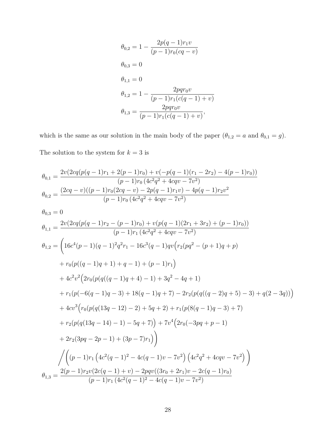$$
\theta_{0,2} = 1 - \frac{2p(q-1)r_1v}{(p-1)r_0(cq-v)}
$$
  
\n
$$
\theta_{0,3} = 0
$$
  
\n
$$
\theta_{1,1} = 0
$$
  
\n
$$
\theta_{1,2} = 1 - \frac{2pqr_0v}{(p-1)r_1(c(q-1)+v)}
$$
  
\n
$$
\theta_{1,3} = \frac{2pqr_0v}{(p-1)r_1(c(q-1)+v)},
$$

which is the same as our solution in the main body of the paper  $(\theta_{1,2} = a \text{ and } \theta_{0,1} = g)$ . The solution to the system for  $k=3$  is

$$
\theta_{0,1} = \frac{2v(2cq(p(q-1)r_1 + 2(p-1)r_0) + v(-p(q-1)(r_1 - 2r_2) - 4(p-1)r_0))}{(p-1)r_0(4c^2q^2 + 4cqv - 7v^2)}
$$
\n
$$
\theta_{0,2} = \frac{(2cq - v)((p-1)r_0(2cq - v) - 2p(q-1)r_1v) - 4p(q-1)r_2v^2}{(p-1)r_0(4c^2q^2 + 4cqv - 7v^2)}
$$
\n
$$
\theta_{0,3} = 0
$$
\n
$$
\theta_{1,1} = \frac{2v(2cq(p(q-1)r_2 - (p-1)r_0) + v(p(q-1)(2r_1 + 3r_2) + (p-1)r_0))}{(p-1)r_1(4c^2q^2 + 4cqv - 7v^2)}
$$
\n
$$
\theta_{1,2} = \left(16c^4(p-1)(q-1)^2q^2r_1 - 16c^3(q-1)qv(r_2(pq^2 - (p+1)q + p) + r_0(p((q-1)q + 1) + q - 1) + (p-1)r_1)\right)
$$
\n
$$
+ 4c^2v^2(2r_0(pq((q-1)q + 4) - 1) + 3q^2 - 4q + 1)
$$
\n
$$
+ r_1(p(-6(q-1)q - 3) + 18(q - 1)q + 7) - 2r_2(pq((q-2)q + 5) - 3) + q(2 - 3q))\right)
$$
\n
$$
+ 4c^3(r_0(p(q(13q - 12) - 2) + 5q + 2) + r_1(p(8(q - 1)q - 3) + 7)
$$
\n
$$
+ r_2(p(q(13q - 14) - 1) - 5q + 7)) + 7v^4(2r_0(-3pq + p - 1)
$$
\n
$$
+ 2r_2(3pq - 2p - 1) + (3p - 7)r_1)\right)
$$
\n
$$
\int \left((p-1)r_1(4c^2(q-1)^2 - 4c(q - 1)v - 7v^2)(4c^2q^2 + 4cqv - 7v^2)\right)
$$
\n
$$
\theta_{1,3} = \frac{
$$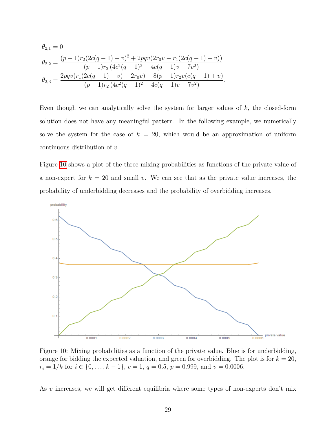$$
\theta_{2,1} = 0
$$
\n
$$
\theta_{2,2} = \frac{(p-1)r_2(2c(q-1)+v)^2 + 2pqv(2r_0v - r_1(2c(q-1)+v))}{(p-1)r_2(4c^2(q-1)^2 - 4c(q-1)v - 7v^2)}
$$
\n
$$
\theta_{2,3} = \frac{2pqv(r_1(2c(q-1)+v) - 2r_0v) - 8(p-1)r_2v(c(q-1)+v)}{(p-1)r_2(4c^2(q-1)^2 - 4c(q-1)v - 7v^2)}.
$$

Even though we can analytically solve the system for larger values of *k*, the closed-form solution does not have any meaningful pattern. In the following example, we numerically solve the system for the case of  $k = 20$ , which would be an approximation of uniform continuous distribution of *v*.

Figure [10](#page-28-0) shows a plot of the three mixing probabilities as functions of the private value of a non-expert for  $k = 20$  and small *v*. We can see that as the private value increases, the probability of underbidding decreases and the probability of overbidding increases.

<span id="page-28-0"></span>

Figure 10: Mixing probabilities as a function of the private value. Blue is for underbidding, orange for bidding the expected valuation, and green for overbidding. The plot is for  $k = 20$ ,  $r_i = 1/k$  for  $i \in \{0, \ldots, k - 1\}, c = 1, q = 0.5, p = 0.999$ , and  $v = 0.0006$ .

As *v* increases, we will get different equilibria where some types of non-experts don't mix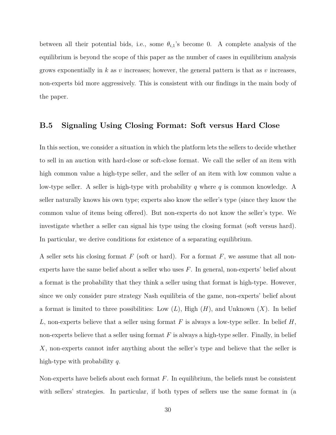between all their potential bids, i.e., some  $\theta_{i,1}$ 's become 0. A complete analysis of the equilibrium is beyond the scope of this paper as the number of cases in equilibrium analysis grows exponentially in *k* as *v* increases; however, the general pattern is that as *v* increases, non-experts bid more aggressively. This is consistent with our findings in the main body of the paper.

#### <span id="page-29-0"></span>**B.5 Signaling Using Closing Format: Soft versus Hard Close**

In this section, we consider a situation in which the platform lets the sellers to decide whether to sell in an auction with hard-close or soft-close format. We call the seller of an item with high common value a high-type seller, and the seller of an item with low common value a low-type seller. A seller is high-type with probability *q* where *q* is common knowledge. A seller naturally knows his own type; experts also know the seller's type (since they know the common value of items being offered). But non-experts do not know the seller's type. We investigate whether a seller can signal his type using the closing format (soft versus hard). In particular, we derive conditions for existence of a separating equilibrium.

A seller sets his closing format *F* (soft or hard). For a format *F*, we assume that all nonexperts have the same belief about a seller who uses *F*. In general, non-experts' belief about a format is the probability that they think a seller using that format is high-type. However, since we only consider pure strategy Nash equilibria of the game, non-experts' belief about a format is limited to three possibilities: Low  $(L)$ , High  $(H)$ , and Unknown  $(X)$ . In belief *L*, non-experts believe that a seller using format *F* is always a low-type seller. In belief *H*, non-experts believe that a seller using format *F* is always a high-type seller. Finally, in belief *X*, non-experts cannot infer anything about the seller's type and believe that the seller is high-type with probability *q*.

Non-experts have beliefs about each format *F*. In equilibrium, the beliefs must be consistent with sellers' strategies. In particular, if both types of sellers use the same format in (a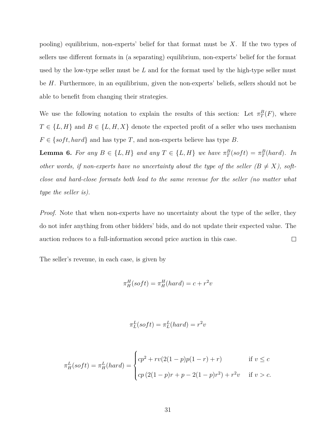pooling) equilibrium, non-experts' belief for that format must be *X*. If the two types of sellers use different formats in (a separating) equilibrium, non-experts' belief for the format used by the low-type seller must be *L* and for the format used by the high-type seller must be *H*. Furthermore, in an equilibrium, given the non-experts' beliefs, sellers should not be able to benefit from changing their strategies.

We use the following notation to explain the results of this section: Let  $\pi_T^B(F)$ , where  $T \in \{L, H\}$  and  $B \in \{L, H, X\}$  denote the expected profit of a seller who uses mechanism  $F \in \{soft, hard\}$  and has type *T*, and non-experts believe has type *B*.

**Lemma 6.** For any  $B \in \{L, H\}$  and any  $T \in \{L, H\}$  we have  $\pi_T^B(\text{soft}) = \pi_T^B(\text{hard})$ *. In other words, if non-experts have no uncertainty about the type of the seller*  $(B \neq X)$ *, softclose and hard-close formats both lead to the same revenue for the seller (no matter what type the seller is).*

*Proof.* Note that when non-experts have no uncertainty about the type of the seller, they do not infer anything from other bidders' bids, and do not update their expected value. The auction reduces to a full-information second price auction in this case.  $\Box$ 

The seller's revenue, in each case, is given by

$$
\pi_H^H(soft) = \pi_H^H(hard) = c + r^2v
$$

$$
\pi_L^L(soft) = \pi_L^L(hard) = r^2v
$$

$$
\pi_H^L(soft) = \pi_H^L(hard) = \begin{cases} cp^2 + rv(2(1-p)p(1-r) + r) & \text{if } v \leq c \\ cp(2(1-p)r + p - 2(1-p)r^2) + r^2v & \text{if } v > c. \end{cases}
$$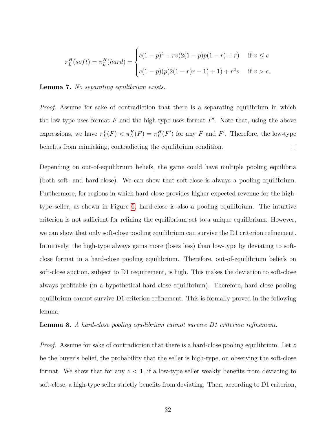$$
\pi_L^H(\text{soft}) = \pi_L^H(\text{hard}) = \begin{cases} c(1-p)^2 + rv(2(1-p)p(1-r) + r) & \text{if } v \leq c \\ c(1-p)(p(2(1-r)r-1) + 1) + r^2v & \text{if } v > c. \end{cases}
$$

#### **Lemma 7.** *No separating equilibrium exists.*

*Proof.* Assume for sake of contradiction that there is a separating equilibrium in which the low-type uses format  $F$  and the high-type uses format  $F'$ . Note that, using the above expressions, we have  $\pi_L^L(F) < \pi_L^H(F) = \pi_L^H(F')$  for any *F* and *F'*. Therefore, the low-type benefits from mimicking, contradicting the equilibrium condition.  $\Box$ 

Depending on out-of-equilibrium beliefs, the game could have multiple pooling equilibria (both soft- and hard-close). We can show that soft-close is always a pooling equilibrium. Furthermore, for regions in which hard-close provides higher expected revenue for the hightype seller, as shown in Figure [6,](#page-0-0) hard-close is also a pooling equilibrium. The intuitive criterion is not sufficient for refining the equilibrium set to a unique equilibrium. However, we can show that only soft-close pooling equilibrium can survive the D1 criterion refinement. Intuitively, the high-type always gains more (loses less) than low-type by deviating to softclose format in a hard-close pooling equilibrium. Therefore, out-of-equilibrium beliefs on soft-close auction, subject to D1 requirement, is high. This makes the deviation to soft-close always profitable (in a hypothetical hard-close equilibrium). Therefore, hard-close pooling equilibrium cannot survive D1 criterion refinement. This is formally proved in the following lemma.

#### <span id="page-31-0"></span>**Lemma 8.** *A hard-close pooling equilibrium cannot survive D1 criterion refinement.*

*Proof.* Assume for sake of contradiction that there is a hard-close pooling equilibrium. Let *z* be the buyer's belief, the probability that the seller is high-type, on observing the soft-close format. We show that for any  $z < 1$ , if a low-type seller weakly benefits from deviating to soft-close, a high-type seller strictly benefits from deviating. Then, according to D1 criterion,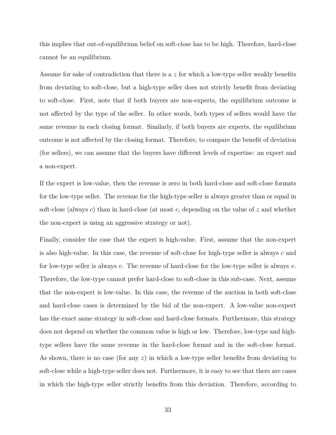this implies that out-of-equilibrium belief on soft-close has to be high. Therefore, hard-close cannot be an equilibrium.

Assume for sake of contradiction that there is a *z* for which a low-type seller weakly benefits from deviating to soft-close, but a high-type seller does not strictly benefit from deviating to soft-close. First, note that if both buyers are non-experts, the equilibrium outcome is not affected by the type of the seller. In other words, both types of sellers would have the same revenue in each closing format. Similarly, if both buyers are experts, the equilibrium outcome is not affected by the closing format. Therefore, to compare the benefit of deviation (for sellers), we can assume that the buyers have different levels of expertise: an expert and a non-expert.

If the expert is low-value, then the revenue is zero in both hard-close and soft-close formats for the low-type seller. The revenue for the high-type seller is always greater than or equal in soft-close (always *c*) than in hard-close (at most *c*, depending on the value of *z* and whether the non-expert is using an aggressive strategy or not).

Finally, consider the case that the expert is high-value. First, assume that the non-expert is also high-value. In this case, the revenue of soft-close for high-type seller is always *c* and for low-type seller is always *v*. The revenue of hard-close for the low-type seller is always *v*. Therefore, the low-type cannot prefer hard-close to soft-close in this sub-case. Next, assume that the non-expert is low-value. In this case, the revenue of the auction in both soft-close and hard-close cases is determined by the bid of the non-expert. A low-value non-expert has the exact same strategy in soft-close and hard-close formats. Furthermore, this strategy does not depend on whether the common value is high or low. Therefore, low-type and hightype sellers have the same revenue in the hard-close format and in the soft-close format. As shown, there is no case (for any *z*) in which a low-type seller benefits from deviating to soft-close while a high-type seller does not. Furthermore, it is easy to see that there are cases in which the high-type seller strictly benefits from this deviation. Therefore, according to